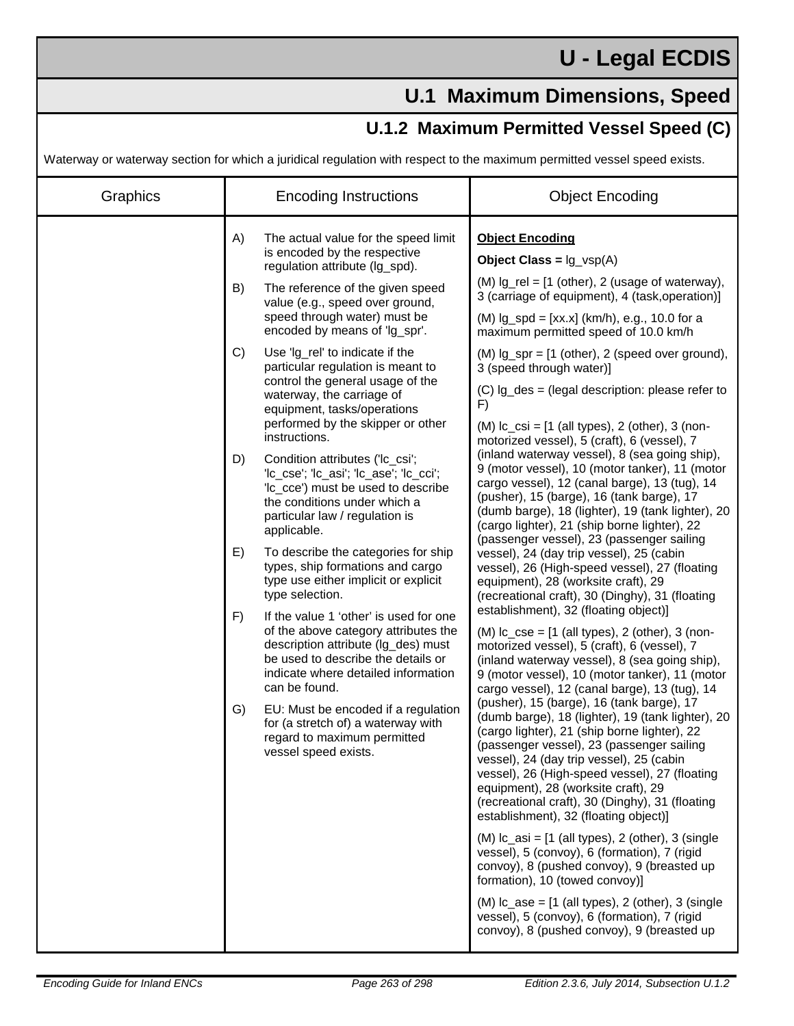## **U - Legal ECDIS**

## **U.1 Maximum Dimensions, Speed**

## **U.1.2 Maximum Permitted Vessel Speed (C)**

Waterway or waterway section for which a juridical regulation with respect to the maximum permitted vessel speed exists.

| Graphics |    | <b>Encoding Instructions</b>                                                                                                                                                                                        | <b>Object Encoding</b>                                                                                                                                                                                                                                                                                                                                                                                                                                                                                                                                                                                                                                                                                                         |
|----------|----|---------------------------------------------------------------------------------------------------------------------------------------------------------------------------------------------------------------------|--------------------------------------------------------------------------------------------------------------------------------------------------------------------------------------------------------------------------------------------------------------------------------------------------------------------------------------------------------------------------------------------------------------------------------------------------------------------------------------------------------------------------------------------------------------------------------------------------------------------------------------------------------------------------------------------------------------------------------|
|          | A) | The actual value for the speed limit<br>is encoded by the respective<br>regulation attribute (Ig_spd).                                                                                                              | <b>Object Encoding</b><br>Object Class = $\lg_\text{vsp}(A)$                                                                                                                                                                                                                                                                                                                                                                                                                                                                                                                                                                                                                                                                   |
|          | B) | The reference of the given speed<br>value (e.g., speed over ground,<br>speed through water) must be<br>encoded by means of 'lg_spr'.                                                                                | $(M)$ lg_rel = $[1$ (other), 2 (usage of waterway),<br>3 (carriage of equipment), 4 (task, operation)]                                                                                                                                                                                                                                                                                                                                                                                                                                                                                                                                                                                                                         |
|          |    |                                                                                                                                                                                                                     | (M) $lg_spd = [xx.x]$ (km/h), e.g., 10.0 for a<br>maximum permitted speed of 10.0 km/h                                                                                                                                                                                                                                                                                                                                                                                                                                                                                                                                                                                                                                         |
|          | C) | Use 'lg_rel' to indicate if the<br>particular regulation is meant to                                                                                                                                                | $(M)$ $lg$ _spr = $[1$ (other), 2 (speed over ground),<br>3 (speed through water)]                                                                                                                                                                                                                                                                                                                                                                                                                                                                                                                                                                                                                                             |
|          |    | control the general usage of the<br>waterway, the carriage of<br>equipment, tasks/operations                                                                                                                        | $(C)$ lg_des = (legal description: please refer to<br>F)                                                                                                                                                                                                                                                                                                                                                                                                                                                                                                                                                                                                                                                                       |
|          |    | performed by the skipper or other<br>instructions.                                                                                                                                                                  | $(M)$ Ic_csi = $[1$ (all types), 2 (other), 3 (non-<br>motorized vessel), 5 (craft), 6 (vessel), 7<br>(inland waterway vessel), 8 (sea going ship),<br>9 (motor vessel), 10 (motor tanker), 11 (motor<br>cargo vessel), 12 (canal barge), 13 (tug), 14<br>(pusher), 15 (barge), 16 (tank barge), 17<br>(dumb barge), 18 (lighter), 19 (tank lighter), 20<br>(cargo lighter), 21 (ship borne lighter), 22<br>(passenger vessel), 23 (passenger sailing                                                                                                                                                                                                                                                                          |
|          | D) | Condition attributes ('lc_csi';<br>'lc_cse'; 'lc_asi'; 'lc_ase'; 'lc_cci';<br>'Ic_cce') must be used to describe<br>the conditions under which a<br>particular law / regulation is<br>applicable.                   |                                                                                                                                                                                                                                                                                                                                                                                                                                                                                                                                                                                                                                                                                                                                |
|          | E) | To describe the categories for ship<br>types, ship formations and cargo<br>type use either implicit or explicit<br>type selection.                                                                                  | vessel), 24 (day trip vessel), 25 (cabin<br>vessel), 26 (High-speed vessel), 27 (floating<br>equipment), 28 (worksite craft), 29<br>(recreational craft), 30 (Dinghy), 31 (floating                                                                                                                                                                                                                                                                                                                                                                                                                                                                                                                                            |
|          | F) | If the value 1 'other' is used for one<br>of the above category attributes the<br>description attribute (Ig_des) must<br>be used to describe the details or<br>indicate where detailed information<br>can be found. | establishment), 32 (floating object)]<br>$(M)$ Ic_cse = $[1$ (all types), 2 (other), 3 (non-<br>motorized vessel), 5 (craft), 6 (vessel), 7<br>(inland waterway vessel), 8 (sea going ship),<br>9 (motor vessel), 10 (motor tanker), 11 (motor<br>cargo vessel), 12 (canal barge), 13 (tug), 14<br>(pusher), 15 (barge), 16 (tank barge), 17<br>(dumb barge), 18 (lighter), 19 (tank lighter), 20<br>(cargo lighter), 21 (ship borne lighter), 22<br>(passenger vessel), 23 (passenger sailing<br>vessel), 24 (day trip vessel), 25 (cabin<br>vessel), 26 (High-speed vessel), 27 (floating<br>equipment), 28 (worksite craft), 29<br>(recreational craft), 30 (Dinghy), 31 (floating<br>establishment), 32 (floating object)] |
|          | G) | EU: Must be encoded if a regulation<br>for (a stretch of) a waterway with<br>regard to maximum permitted<br>vessel speed exists.                                                                                    |                                                                                                                                                                                                                                                                                                                                                                                                                                                                                                                                                                                                                                                                                                                                |
|          |    |                                                                                                                                                                                                                     | $(M)$ Ic_asi = $[1$ (all types), 2 (other), 3 (single<br>vessel), 5 (convoy), 6 (formation), 7 (rigid<br>convoy), 8 (pushed convoy), 9 (breasted up<br>formation), 10 (towed convoy)]                                                                                                                                                                                                                                                                                                                                                                                                                                                                                                                                          |
|          |    |                                                                                                                                                                                                                     | $(M)$ Ic_ase = $[1$ (all types), 2 (other), 3 (single<br>vessel), 5 (convoy), 6 (formation), 7 (rigid<br>convoy), 8 (pushed convoy), 9 (breasted up                                                                                                                                                                                                                                                                                                                                                                                                                                                                                                                                                                            |